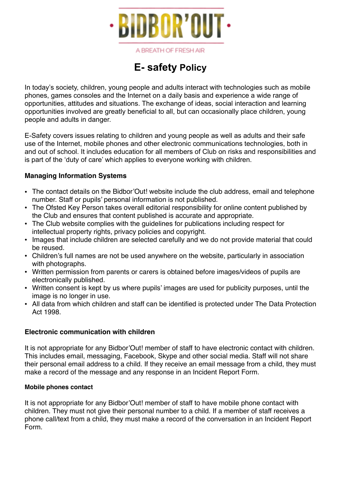

A BREATH OF FRESH AIR

# **E- safety Policy**

In today's society, children, young people and adults interact with technologies such as mobile phones, games consoles and the Internet on a daily basis and experience a wide range of opportunities, attitudes and situations. The exchange of ideas, social interaction and learning opportunities involved are greatly beneficial to all, but can occasionally place children, young people and adults in danger.

E-Safety covers issues relating to children and young people as well as adults and their safe use of the Internet, mobile phones and other electronic communications technologies, both in and out of school. It includes education for all members of Club on risks and responsibilities and is part of the 'duty of care' which applies to everyone working with children.

# **Managing Information Systems**

- The contact details on the Bidbor'Out! website include the club address, email and telephone number. Staff or pupils' personal information is not published.
- The Ofsted Key Person takes overall editorial responsibility for online content published by the Club and ensures that content published is accurate and appropriate.
- The Club website complies with the guidelines for publications including respect for intellectual property rights, privacy policies and copyright.
- Images that include children are selected carefully and we do not provide material that could be reused.
- Children's full names are not be used anywhere on the website, particularly in association with photographs.
- Written permission from parents or carers is obtained before images/videos of pupils are electronically published.
- Written consent is kept by us where pupils' images are used for publicity purposes, until the image is no longer in use.
- All data from which children and staff can be identified is protected under The Data Protection Act 1998.

## **Electronic communication with children**

It is not appropriate for any Bidbor'Out! member of staff to have electronic contact with children. This includes email, messaging, Facebook, Skype and other social media. Staff will not share their personal email address to a child. If they receive an email message from a child, they must make a record of the message and any response in an Incident Report Form.

### **Mobile phones contact**

It is not appropriate for any Bidbor'Out! member of staff to have mobile phone contact with children. They must not give their personal number to a child. If a member of staff receives a phone call/text from a child, they must make a record of the conversation in an Incident Report Form.